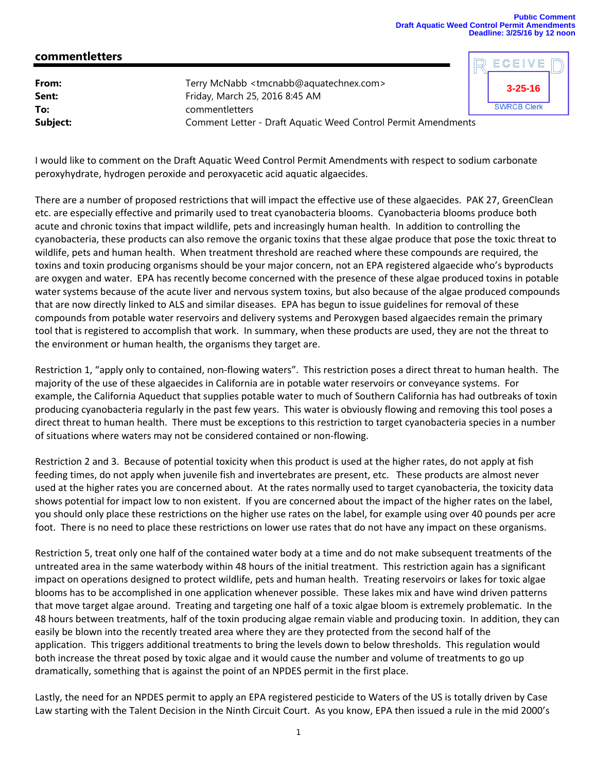## **Public Comment Draft Aquatic Weed Control Permit Amendments Deadline: 3/25/16 by 12 noon**

**3-25-16**

**SWRCB Clerk** 

ECEIVE

## **commentletters**

| From:    | Terry McNabb <tmcnabb@aquatechnex.com></tmcnabb@aquatechnex.com>     |  |
|----------|----------------------------------------------------------------------|--|
| Sent:    | Friday, March 25, 2016 8:45 AM                                       |  |
| To:      | commentletters                                                       |  |
| Subject: | <b>Comment Letter - Draft Aquatic Weed Control Permit Amendments</b> |  |

I would like to comment on the Draft Aquatic Weed Control Permit Amendments with respect to sodium carbonate peroxyhydrate, hydrogen peroxide and peroxyacetic acid aquatic algaecides.

There are a number of proposed restrictions that will impact the effective use of these algaecides. PAK 27, GreenClean etc. are especially effective and primarily used to treat cyanobacteria blooms. Cyanobacteria blooms produce both acute and chronic toxins that impact wildlife, pets and increasingly human health. In addition to controlling the cyanobacteria, these products can also remove the organic toxins that these algae produce that pose the toxic threat to wildlife, pets and human health. When treatment threshold are reached where these compounds are required, the toxins and toxin producing organisms should be your major concern, not an EPA registered algaecide who's byproducts are oxygen and water. EPA has recently become concerned with the presence of these algae produced toxins in potable water systems because of the acute liver and nervous system toxins, but also because of the algae produced compounds that are now directly linked to ALS and similar diseases. EPA has begun to issue guidelines for removal of these compounds from potable water reservoirs and delivery systems and Peroxygen based algaecides remain the primary tool that is registered to accomplish that work. In summary, when these products are used, they are not the threat to the environment or human health, the organisms they target are.

Restriction 1, "apply only to contained, non‐flowing waters". This restriction poses a direct threat to human health. The majority of the use of these algaecides in California are in potable water reservoirs or conveyance systems. For example, the California Aqueduct that supplies potable water to much of Southern California has had outbreaks of toxin producing cyanobacteria regularly in the past few years. This water is obviously flowing and removing this tool poses a direct threat to human health. There must be exceptions to this restriction to target cyanobacteria species in a number of situations where waters may not be considered contained or non‐flowing.

Restriction 2 and 3. Because of potential toxicity when this product is used at the higher rates, do not apply at fish feeding times, do not apply when juvenile fish and invertebrates are present, etc. These products are almost never used at the higher rates you are concerned about. At the rates normally used to target cyanobacteria, the toxicity data shows potential for impact low to non existent. If you are concerned about the impact of the higher rates on the label, you should only place these restrictions on the higher use rates on the label, for example using over 40 pounds per acre foot. There is no need to place these restrictions on lower use rates that do not have any impact on these organisms.

Restriction 5, treat only one half of the contained water body at a time and do not make subsequent treatments of the untreated area in the same waterbody within 48 hours of the initial treatment. This restriction again has a significant impact on operations designed to protect wildlife, pets and human health. Treating reservoirs or lakes for toxic algae blooms has to be accomplished in one application whenever possible. These lakes mix and have wind driven patterns that move target algae around. Treating and targeting one half of a toxic algae bloom is extremely problematic. In the 48 hours between treatments, half of the toxin producing algae remain viable and producing toxin. In addition, they can easily be blown into the recently treated area where they are they protected from the second half of the application. This triggers additional treatments to bring the levels down to below thresholds. This regulation would both increase the threat posed by toxic algae and it would cause the number and volume of treatments to go up dramatically, something that is against the point of an NPDES permit in the first place.

Lastly, the need for an NPDES permit to apply an EPA registered pesticide to Waters of the US is totally driven by Case Law starting with the Talent Decision in the Ninth Circuit Court. As you know, EPA then issued a rule in the mid 2000's